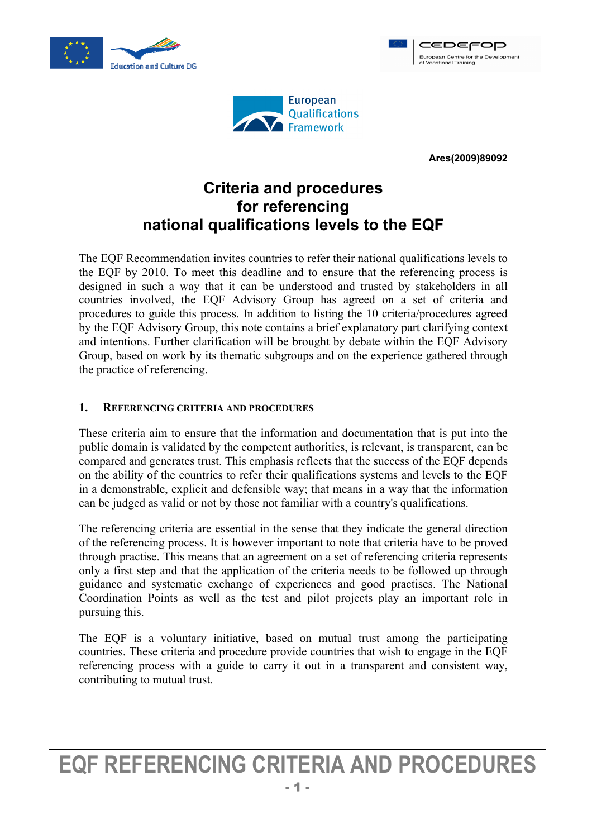



**Ares(2009)89092** 

CEDEFOP European Centre for the Development<br>of Vocational Training

# **Criteria and procedures for referencing national qualifications levels to the EQF**

The EQF Recommendation invites countries to refer their national qualifications levels to the EQF by 2010. To meet this deadline and to ensure that the referencing process is designed in such a way that it can be understood and trusted by stakeholders in all countries involved, the EQF Advisory Group has agreed on a set of criteria and procedures to guide this process. In addition to listing the 10 criteria/procedures agreed by the EQF Advisory Group, this note contains a brief explanatory part clarifying context and intentions. Further clarification will be brought by debate within the EQF Advisory Group, based on work by its thematic subgroups and on the experience gathered through the practice of referencing.

#### **1. REFERENCING CRITERIA AND PROCEDURES**

These criteria aim to ensure that the information and documentation that is put into the public domain is validated by the competent authorities, is relevant, is transparent, can be compared and generates trust. This emphasis reflects that the success of the EQF depends on the ability of the countries to refer their qualifications systems and levels to the EQF in a demonstrable, explicit and defensible way; that means in a way that the information can be judged as valid or not by those not familiar with a country's qualifications.

The referencing criteria are essential in the sense that they indicate the general direction of the referencing process. It is however important to note that criteria have to be proved through practise. This means that an agreement on a set of referencing criteria represents only a first step and that the application of the criteria needs to be followed up through guidance and systematic exchange of experiences and good practises. The National Coordination Points as well as the test and pilot projects play an important role in pursuing this.

The EQF is a voluntary initiative, based on mutual trust among the participating countries. These criteria and procedure provide countries that wish to engage in the EQF referencing process with a guide to carry it out in a transparent and consistent way, contributing to mutual trust.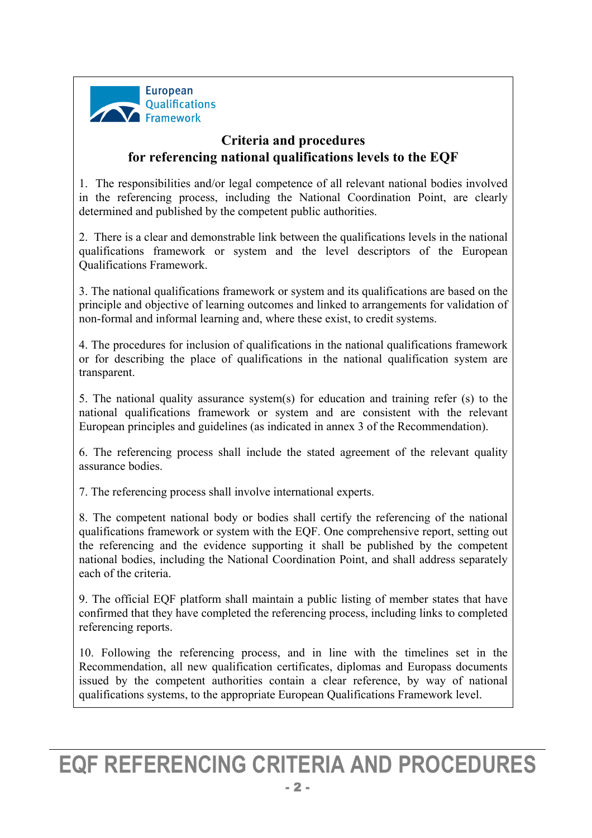

# **Criteria and procedures for referencing national qualifications levels to the EQF**

1. The responsibilities and/or legal competence of all relevant national bodies involved in the referencing process, including the National Coordination Point, are clearly determined and published by the competent public authorities.

2. There is a clear and demonstrable link between the qualifications levels in the national qualifications framework or system and the level descriptors of the European Qualifications Framework.

3. The national qualifications framework or system and its qualifications are based on the principle and objective of learning outcomes and linked to arrangements for validation of non-formal and informal learning and, where these exist, to credit systems.

4. The procedures for inclusion of qualifications in the national qualifications framework or for describing the place of qualifications in the national qualification system are transparent.

5. The national quality assurance system(s) for education and training refer (s) to the national qualifications framework or system and are consistent with the relevant European principles and guidelines (as indicated in annex 3 of the Recommendation).

6. The referencing process shall include the stated agreement of the relevant quality assurance bodies.

7. The referencing process shall involve international experts.

8. The competent national body or bodies shall certify the referencing of the national qualifications framework or system with the EQF. One comprehensive report, setting out the referencing and the evidence supporting it shall be published by the competent national bodies, including the National Coordination Point, and shall address separately each of the criteria.

9. The official EQF platform shall maintain a public listing of member states that have confirmed that they have completed the referencing process, including links to completed referencing reports.

10. Following the referencing process, and in line with the timelines set in the Recommendation, all new qualification certificates, diplomas and Europass documents issued by the competent authorities contain a clear reference, by way of national qualifications systems, to the appropriate European Qualifications Framework level.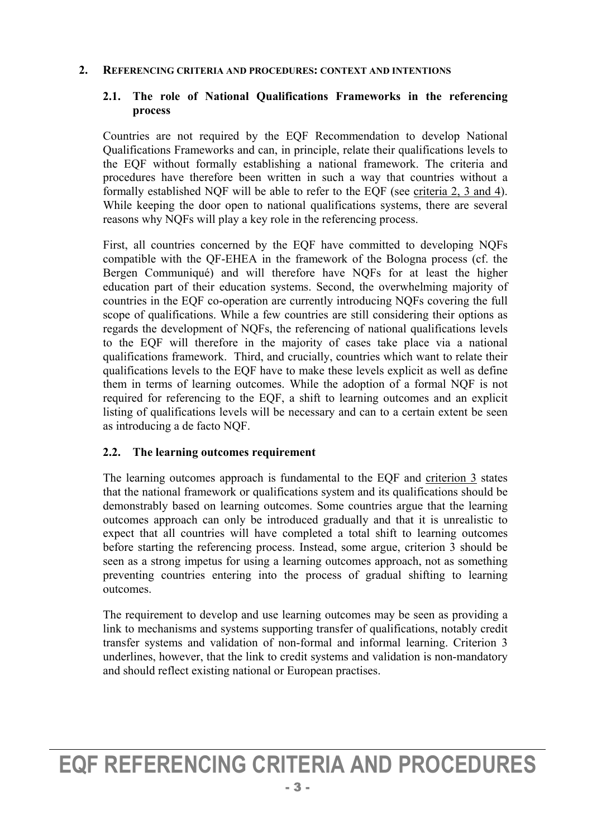#### **2. REFERENCING CRITERIA AND PROCEDURES: CONTEXT AND INTENTIONS**

### **2.1. The role of National Qualifications Frameworks in the referencing process**

Countries are not required by the EQF Recommendation to develop National Qualifications Frameworks and can, in principle, relate their qualifications levels to the EQF without formally establishing a national framework. The criteria and procedures have therefore been written in such a way that countries without a formally established NQF will be able to refer to the EQF (see criteria 2, 3 and 4). While keeping the door open to national qualifications systems, there are several reasons why NQFs will play a key role in the referencing process.

First, all countries concerned by the EQF have committed to developing NQFs compatible with the QF-EHEA in the framework of the Bologna process (cf. the Bergen Communiqué) and will therefore have NQFs for at least the higher education part of their education systems. Second, the overwhelming majority of countries in the EQF co-operation are currently introducing NQFs covering the full scope of qualifications. While a few countries are still considering their options as regards the development of NQFs, the referencing of national qualifications levels to the EQF will therefore in the majority of cases take place via a national qualifications framework. Third, and crucially, countries which want to relate their qualifications levels to the EQF have to make these levels explicit as well as define them in terms of learning outcomes. While the adoption of a formal NQF is not required for referencing to the EQF, a shift to learning outcomes and an explicit listing of qualifications levels will be necessary and can to a certain extent be seen as introducing a de facto NQF.

### **2.2. The learning outcomes requirement**

The learning outcomes approach is fundamental to the EQF and criterion 3 states that the national framework or qualifications system and its qualifications should be demonstrably based on learning outcomes. Some countries argue that the learning outcomes approach can only be introduced gradually and that it is unrealistic to expect that all countries will have completed a total shift to learning outcomes before starting the referencing process. Instead, some argue, criterion 3 should be seen as a strong impetus for using a learning outcomes approach, not as something preventing countries entering into the process of gradual shifting to learning outcomes.

The requirement to develop and use learning outcomes may be seen as providing a link to mechanisms and systems supporting transfer of qualifications, notably credit transfer systems and validation of non-formal and informal learning. Criterion 3 underlines, however, that the link to credit systems and validation is non-mandatory and should reflect existing national or European practises.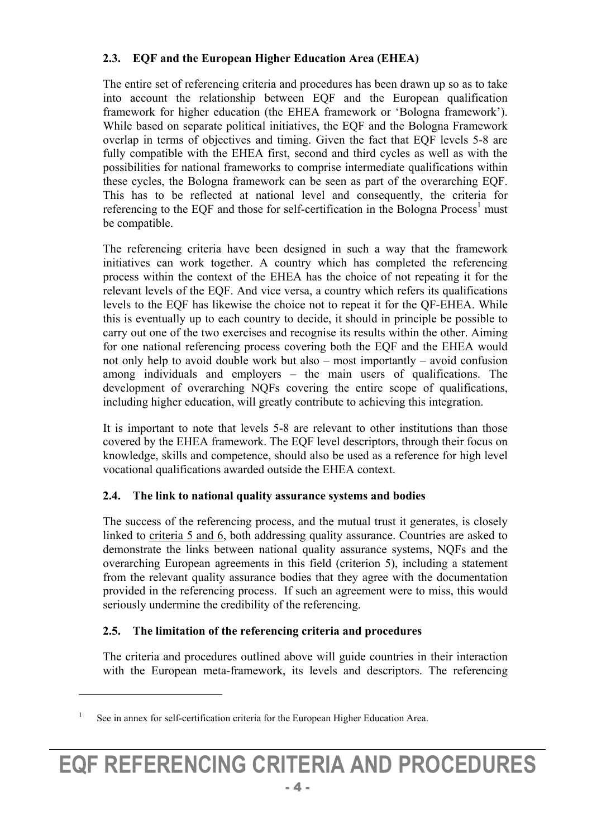## **2.3. EQF and the European Higher Education Area (EHEA)**

The entire set of referencing criteria and procedures has been drawn up so as to take into account the relationship between EQF and the European qualification framework for higher education (the EHEA framework or 'Bologna framework'). While based on separate political initiatives, the EQF and the Bologna Framework overlap in terms of objectives and timing. Given the fact that EQF levels 5-8 are fully compatible with the EHEA first, second and third cycles as well as with the possibilities for national frameworks to comprise intermediate qualifications within these cycles, the Bologna framework can be seen as part of the overarching EQF. This has to be reflected at national level and consequently, the criteria for referencing to the EQF and those for self-certification in the Bologna Process<sup>1</sup> must be compatible.

The referencing criteria have been designed in such a way that the framework initiatives can work together. A country which has completed the referencing process within the context of the EHEA has the choice of not repeating it for the relevant levels of the EQF. And vice versa, a country which refers its qualifications levels to the EQF has likewise the choice not to repeat it for the QF-EHEA. While this is eventually up to each country to decide, it should in principle be possible to carry out one of the two exercises and recognise its results within the other. Aiming for one national referencing process covering both the EQF and the EHEA would not only help to avoid double work but also – most importantly – avoid confusion among individuals and employers – the main users of qualifications. The development of overarching NQFs covering the entire scope of qualifications, including higher education, will greatly contribute to achieving this integration.

It is important to note that levels 5-8 are relevant to other institutions than those covered by the EHEA framework. The EQF level descriptors, through their focus on knowledge, skills and competence, should also be used as a reference for high level vocational qualifications awarded outside the EHEA context.

### **2.4. The link to national quality assurance systems and bodies**

The success of the referencing process, and the mutual trust it generates, is closely linked to criteria 5 and 6, both addressing quality assurance. Countries are asked to demonstrate the links between national quality assurance systems, NQFs and the overarching European agreements in this field (criterion 5), including a statement from the relevant quality assurance bodies that they agree with the documentation provided in the referencing process. If such an agreement were to miss, this would seriously undermine the credibility of the referencing.

### **2.5. The limitation of the referencing criteria and procedures**

The criteria and procedures outlined above will guide countries in their interaction with the European meta-framework, its levels and descriptors. The referencing

 $\overline{a}$ 

<sup>1</sup> See in annex for self-certification criteria for the European Higher Education Area.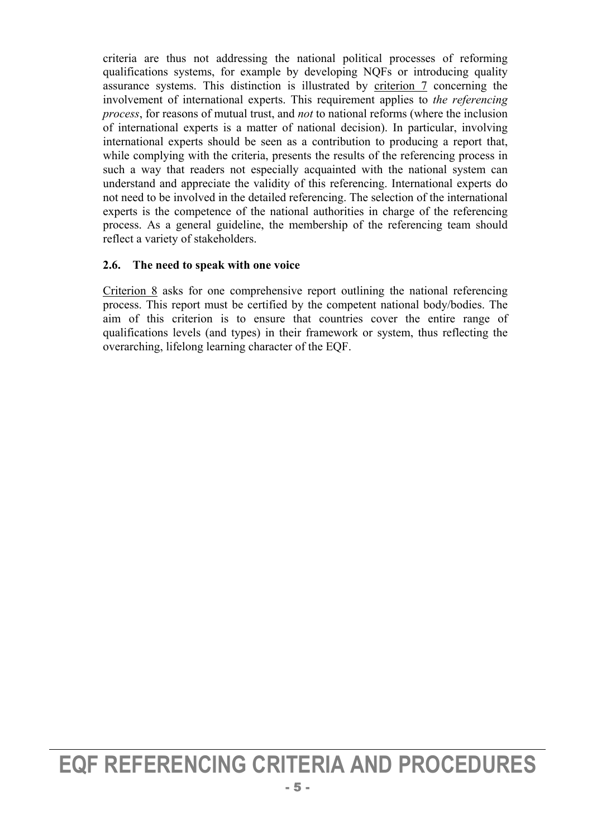criteria are thus not addressing the national political processes of reforming qualifications systems, for example by developing NQFs or introducing quality assurance systems. This distinction is illustrated by criterion 7 concerning the involvement of international experts. This requirement applies to *the referencing process*, for reasons of mutual trust, and *not* to national reforms (where the inclusion of international experts is a matter of national decision). In particular, involving international experts should be seen as a contribution to producing a report that, while complying with the criteria, presents the results of the referencing process in such a way that readers not especially acquainted with the national system can understand and appreciate the validity of this referencing. International experts do not need to be involved in the detailed referencing. The selection of the international experts is the competence of the national authorities in charge of the referencing process. As a general guideline, the membership of the referencing team should reflect a variety of stakeholders.

### **2.6. The need to speak with one voice**

Criterion 8 asks for one comprehensive report outlining the national referencing process. This report must be certified by the competent national body/bodies. The aim of this criterion is to ensure that countries cover the entire range of qualifications levels (and types) in their framework or system, thus reflecting the overarching, lifelong learning character of the EQF.